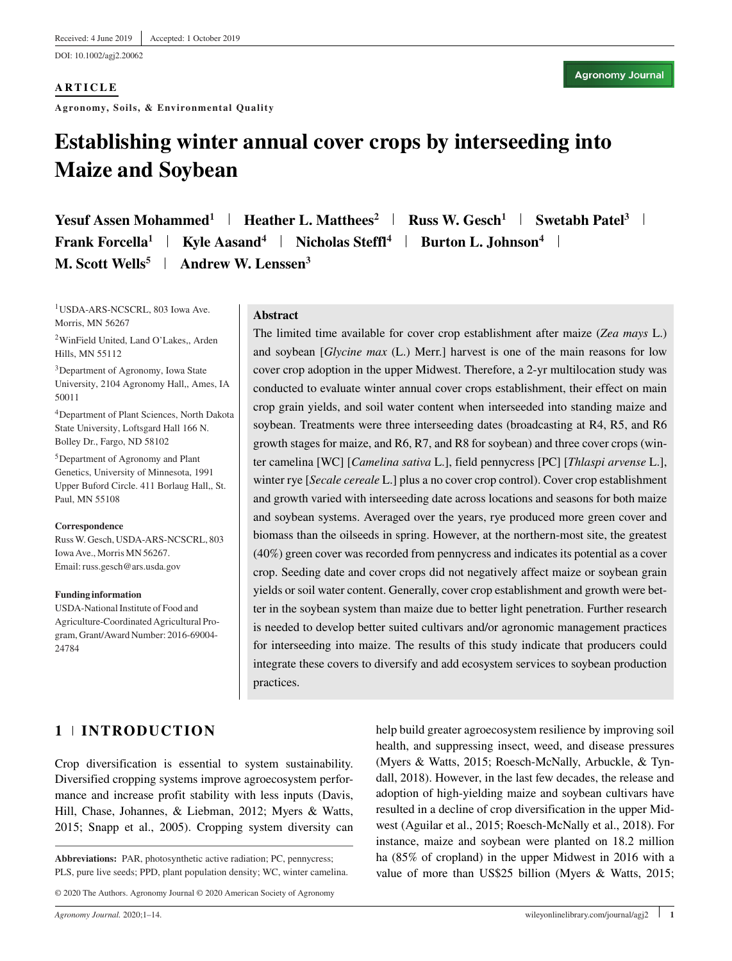DOI: 10.1002/agj2.20062

#### **ARTICLE** ————————————

**Agronomy, Soils, & Environmental Quality**

# **Establishing winter annual cover crops by interseeding into Maize and Soybean**

**Yesuf Assen Mohammed<sup>1</sup> | Heather L. Matthees<sup>2</sup> | Russ W. Gesch<sup>1</sup> | Swetabh Patel<sup>3</sup> | Frank Forcella<sup>1</sup> | Kyle Aasand<sup>4</sup> | Nicholas Steffl<sup>4</sup> | Burton L. Johnson<sup>4</sup> | M. Scott Wells<sup>5</sup> | Andrew W. Lenssen<sup>3</sup>** 

1USDA-ARS-NCSCRL, 803 Iowa Ave. Morris, MN 56267

2WinField United, Land O'Lakes,, Arden Hills, MN 55112

3Department of Agronomy, Iowa State University, 2104 Agronomy Hall,, Ames, IA 50011

4Department of Plant Sciences, North Dakota State University, Loftsgard Hall 166 N. Bolley Dr., Fargo, ND 58102

5Department of Agronomy and Plant Genetics, University of Minnesota, 1991 Upper Buford Circle. 411 Borlaug Hall,, St. Paul, MN 55108

**Correspondence**

RussW. Gesch, USDA-ARS-NCSCRL, 803 Iowa Ave., Morris MN 56267. Email: russ.gesch@ars.usda.gov

#### **Funding information**

USDA-National Institute of Food and Agriculture-Coordinated Agricultural Program, Grant/Award Number: 2016-69004- 24784

#### **Abstract**

The limited time available for cover crop establishment after maize (*Zea mays* L.) and soybean [*Glycine max* (L.) Merr.] harvest is one of the main reasons for low cover crop adoption in the upper Midwest. Therefore, a 2-yr multilocation study was conducted to evaluate winter annual cover crops establishment, their effect on main crop grain yields, and soil water content when interseeded into standing maize and soybean. Treatments were three interseeding dates (broadcasting at R4, R5, and R6 growth stages for maize, and R6, R7, and R8 for soybean) and three cover crops (winter camelina [WC] [*Camelina sativa* L.], field pennycress [PC] [*Thlaspi arvense* L.], winter rye [*Secale cereale* L.] plus a no cover crop control). Cover crop establishment and growth varied with interseeding date across locations and seasons for both maize and soybean systems. Averaged over the years, rye produced more green cover and biomass than the oilseeds in spring. However, at the northern-most site, the greatest (40%) green cover was recorded from pennycress and indicates its potential as a cover crop. Seeding date and cover crops did not negatively affect maize or soybean grain yields or soil water content. Generally, cover crop establishment and growth were better in the soybean system than maize due to better light penetration. Further research is needed to develop better suited cultivars and/or agronomic management practices for interseeding into maize. The results of this study indicate that producers could integrate these covers to diversify and add ecosystem services to soybean production practices.

# 1 | INTRODUCTION **1 INTRODUCTION**

Crop diversification is essential to system sustainability. Diversified cropping systems improve agroecosystem performance and increase profit stability with less inputs (Davis, Hill, Chase, Johannes, & Liebman, 2012; Myers & Watts, 2015; Snapp et al., 2005). Cropping system diversity can

**Abbreviations:** PAR, photosynthetic active radiation; PC, pennycress; PLS, pure live seeds; PPD, plant population density; WC, winter camelina.

© 2020 The Authors. Agronomy Journal © 2020 American Society of Agronomy

help build greater agroecosystem resilience by improving soil health, and suppressing insect, weed, and disease pressures (Myers & Watts, 2015; Roesch-McNally, Arbuckle, & Tyndall, 2018). However, in the last few decades, the release and adoption of high-yielding maize and soybean cultivars have resulted in a decline of crop diversification in the upper Midwest (Aguilar et al., 2015; Roesch-McNally et al., 2018). For instance, maize and soybean were planted on 18.2 million ha (85% of cropland) in the upper Midwest in 2016 with a value of more than US\$25 billion (Myers & Watts, 2015;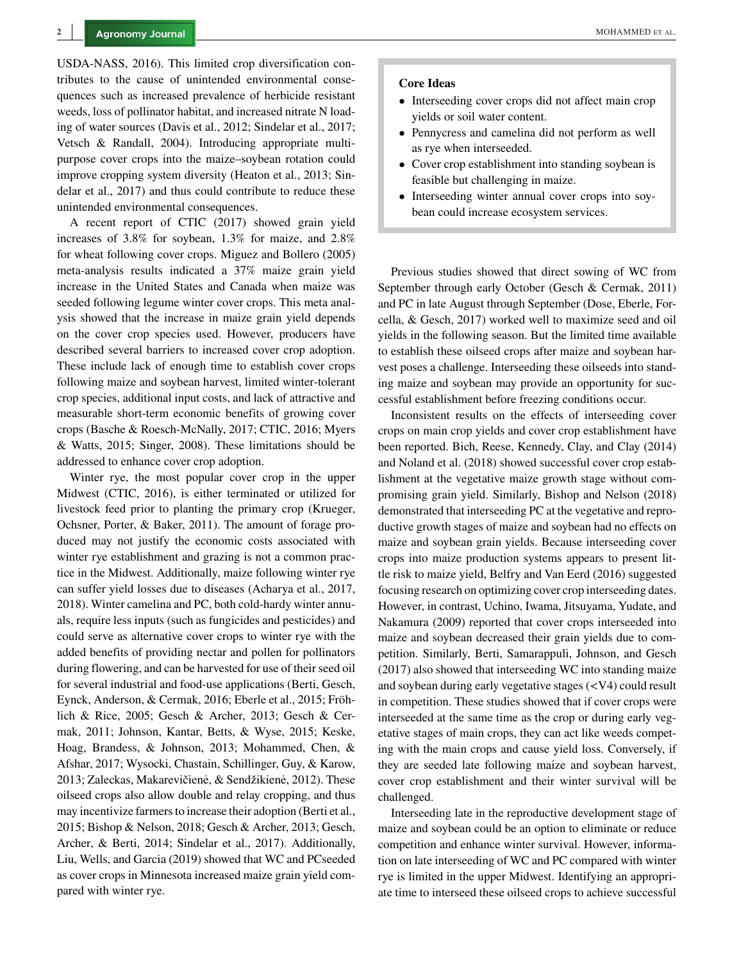USDA-NASS, 2016). This limited crop diversification contributes to the cause of unintended environmental consequences such as increased prevalence of herbicide resistant weeds, loss of pollinator habitat, and increased nitrate N loading of water sources (Davis et al., 2012; Sindelar et al., 2017; Vetsch & Randall, 2004). Introducing appropriate multipurpose cover crops into the maize–soybean rotation could improve cropping system diversity (Heaton et al., 2013; Sindelar et al., 2017) and thus could contribute to reduce these unintended environmental consequences.

A recent report of CTIC (2017) showed grain yield increases of 3.8% for soybean, 1.3% for maize, and 2.8% for wheat following cover crops. Miguez and Bollero (2005) meta-analysis results indicated a 37% maize grain yield increase in the United States and Canada when maize was seeded following legume winter cover crops. This meta analysis showed that the increase in maize grain yield depends on the cover crop species used. However, producers have described several barriers to increased cover crop adoption. These include lack of enough time to establish cover crops following maize and soybean harvest, limited winter-tolerant crop species, additional input costs, and lack of attractive and measurable short-term economic benefits of growing cover crops (Basche & Roesch-McNally, 2017; CTIC, 2016; Myers & Watts, 2015; Singer, 2008). These limitations should be addressed to enhance cover crop adoption.

Winter rye, the most popular cover crop in the upper Midwest (CTIC, 2016), is either terminated or utilized for livestock feed prior to planting the primary crop (Krueger, Ochsner, Porter, & Baker, 2011). The amount of forage produced may not justify the economic costs associated with winter rye establishment and grazing is not a common practice in the Midwest. Additionally, maize following winter rye can suffer yield losses due to diseases (Acharya et al., 2017, 2018). Winter camelina and PC, both cold-hardy winter annuals, require less inputs (such as fungicides and pesticides) and could serve as alternative cover crops to winter rye with the added benefits of providing nectar and pollen for pollinators during flowering, and can be harvested for use of their seed oil for several industrial and food-use applications (Berti, Gesch, Eynck, Anderson, & Cermak, 2016; Eberle et al., 2015; Fröhlich & Rice, 2005; Gesch & Archer, 2013; Gesch & Cermak, 2011; Johnson, Kantar, Betts, & Wyse, 2015; Keske, Hoag, Brandess, & Johnson, 2013; Mohammed, Chen, & Afshar, 2017; Wysocki, Chastain, Schillinger, Guy, & Karow, 2013; Zaleckas, Makarevičienė, & Sendžikienė, 2012). These oilseed crops also allow double and relay cropping, and thus may incentivize farmers to increase their adoption (Berti et al., 2015; Bishop & Nelson, 2018; Gesch & Archer, 2013; Gesch, Archer, & Berti, 2014; Sindelar et al., 2017). Additionally, Liu, Wells, and Garcia (2019) showed that WC and PCseeded as cover crops in Minnesota increased maize grain yield compared with winter rye.

#### **Core Ideas**

- Interseeding cover crops did not affect main crop yields or soil water content.
- Pennycress and camelina did not perform as well as rye when interseeded.
- Cover crop establishment into standing soybean is feasible but challenging in maize.
- Interseeding winter annual cover crops into soybean could increase ecosystem services.

Previous studies showed that direct sowing of WC from September through early October (Gesch & Cermak, 2011) and PC in late August through September (Dose, Eberle, Forcella, & Gesch, 2017) worked well to maximize seed and oil yields in the following season. But the limited time available to establish these oilseed crops after maize and soybean harvest poses a challenge. Interseeding these oilseeds into standing maize and soybean may provide an opportunity for successful establishment before freezing conditions occur.

Inconsistent results on the effects of interseeding cover crops on main crop yields and cover crop establishment have been reported. Bich, Reese, Kennedy, Clay, and Clay (2014) and Noland et al. (2018) showed successful cover crop establishment at the vegetative maize growth stage without compromising grain yield. Similarly, Bishop and Nelson (2018) demonstrated that interseeding PC at the vegetative and reproductive growth stages of maize and soybean had no effects on maize and soybean grain yields. Because interseeding cover crops into maize production systems appears to present little risk to maize yield, Belfry and Van Eerd (2016) suggested focusing research on optimizing cover crop interseeding dates. However, in contrast, Uchino, Iwama, Jitsuyama, Yudate, and Nakamura (2009) reported that cover crops interseeded into maize and soybean decreased their grain yields due to competition. Similarly, Berti, Samarappuli, Johnson, and Gesch (2017) also showed that interseeding WC into standing maize and soybean during early vegetative stages (<V4) could result in competition. These studies showed that if cover crops were interseeded at the same time as the crop or during early vegetative stages of main crops, they can act like weeds competing with the main crops and cause yield loss. Conversely, if they are seeded late following maize and soybean harvest, cover crop establishment and their winter survival will be challenged.

Interseeding late in the reproductive development stage of maize and soybean could be an option to eliminate or reduce competition and enhance winter survival. However, information on late interseeding of WC and PC compared with winter rye is limited in the upper Midwest. Identifying an appropriate time to interseed these oilseed crops to achieve successful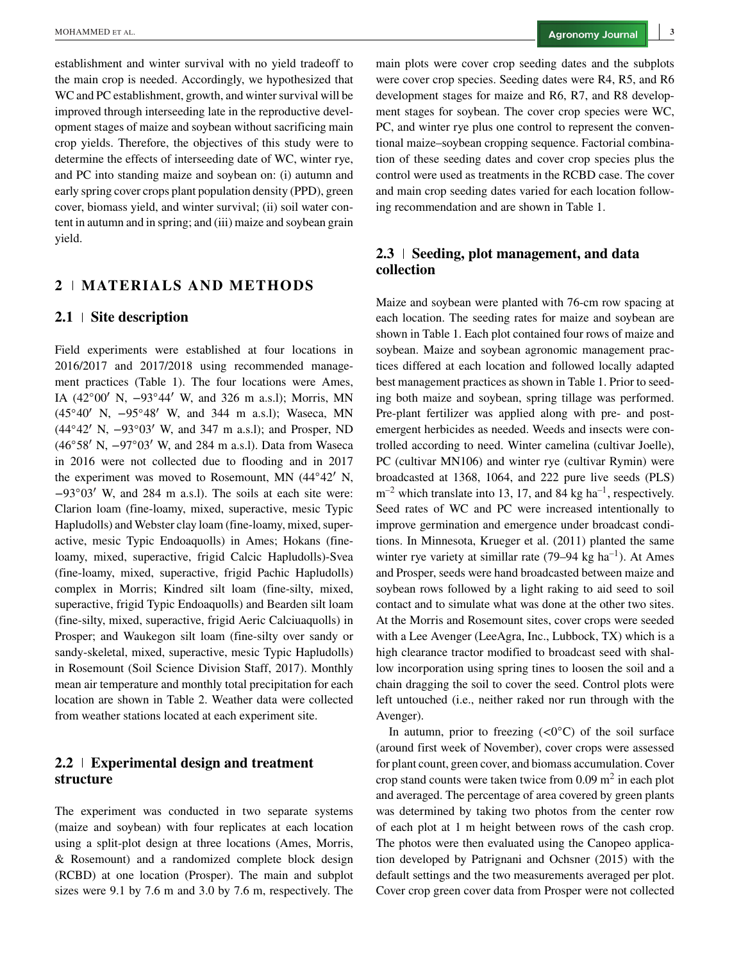establishment and winter survival with no yield tradeoff to the main crop is needed. Accordingly, we hypothesized that WC and PC establishment, growth, and winter survival will be improved through interseeding late in the reproductive development stages of maize and soybean without sacrificing main crop yields. Therefore, the objectives of this study were to determine the effects of interseeding date of WC, winter rye, and PC into standing maize and soybean on: (i) autumn and early spring cover crops plant population density (PPD), green cover, biomass yield, and winter survival; (ii) soil water content in autumn and in spring; and (iii) maize and soybean grain yield.

# 2 | MATERIALS AND METHODS

#### **2.1 Site description**

Field experiments were established at four locations in 2016/2017 and 2017/2018 using recommended management practices (Table 1). The four locations were Ames, IA (42◦00′ N, −93◦44′ W, and 326 m a.s.l); Morris, MN (45◦40′ N, −95◦48′ W, and 344 m a.s.l); Waseca, MN (44◦42′ N, −93◦03′ W, and 347 m a.s.l); and Prosper, ND (46◦58′ N, −97◦03′ W, and 284 m a.s.l). Data from Waseca in 2016 were not collected due to flooding and in 2017 the experiment was moved to Rosemount, MN (44◦42′ N, −93◦03′ W, and 284 m a.s.l). The soils at each site were: Clarion loam (fine-loamy, mixed, superactive, mesic Typic Hapludolls) and Webster clay loam (fine-loamy, mixed, superactive, mesic Typic Endoaquolls) in Ames; Hokans (fineloamy, mixed, superactive, frigid Calcic Hapludolls)-Svea (fine-loamy, mixed, superactive, frigid Pachic Hapludolls) complex in Morris; Kindred silt loam (fine-silty, mixed, superactive, frigid Typic Endoaquolls) and Bearden silt loam (fine-silty, mixed, superactive, frigid Aeric Calciuaquolls) in Prosper; and Waukegon silt loam (fine-silty over sandy or sandy-skeletal, mixed, superactive, mesic Typic Hapludolls) in Rosemount (Soil Science Division Staff, 2017). Monthly mean air temperature and monthly total precipitation for each location are shown in Table 2. Weather data were collected from weather stations located at each experiment site.

# **2.2 Experimental design and treatment structure**

The experiment was conducted in two separate systems (maize and soybean) with four replicates at each location using a split-plot design at three locations (Ames, Morris, & Rosemount) and a randomized complete block design (RCBD) at one location (Prosper). The main and subplot sizes were 9.1 by 7.6 m and 3.0 by 7.6 m, respectively. The main plots were cover crop seeding dates and the subplots were cover crop species. Seeding dates were R4, R5, and R6 development stages for maize and R6, R7, and R8 development stages for soybean. The cover crop species were WC, PC, and winter rye plus one control to represent the conventional maize–soybean cropping sequence. Factorial combination of these seeding dates and cover crop species plus the control were used as treatments in the RCBD case. The cover and main crop seeding dates varied for each location following recommendation and are shown in Table 1.

# **2.3 Seeding, plot management, and data collection**

Maize and soybean were planted with 76-cm row spacing at each location. The seeding rates for maize and soybean are shown in Table 1. Each plot contained four rows of maize and soybean. Maize and soybean agronomic management practices differed at each location and followed locally adapted best management practices as shown in Table 1. Prior to seeding both maize and soybean, spring tillage was performed. Pre-plant fertilizer was applied along with pre- and postemergent herbicides as needed. Weeds and insects were controlled according to need. Winter camelina (cultivar Joelle), PC (cultivar MN106) and winter rye (cultivar Rymin) were broadcasted at 1368, 1064, and 222 pure live seeds (PLS)  $m^{-2}$  which translate into 13, 17, and 84 kg ha<sup>-1</sup>, respectively. Seed rates of WC and PC were increased intentionally to improve germination and emergence under broadcast conditions. In Minnesota, Krueger et al. (2011) planted the same winter rye variety at simillar rate  $(79-94 \text{ kg ha}^{-1})$ . At Ames and Prosper, seeds were hand broadcasted between maize and soybean rows followed by a light raking to aid seed to soil contact and to simulate what was done at the other two sites. At the Morris and Rosemount sites, cover crops were seeded with a Lee Avenger (LeeAgra, Inc., Lubbock, TX) which is a high clearance tractor modified to broadcast seed with shallow incorporation using spring tines to loosen the soil and a chain dragging the soil to cover the seed. Control plots were left untouched (i.e., neither raked nor run through with the Avenger).

In autumn, prior to freezing  $\langle \langle 0^\circ C \rangle$  of the soil surface (around first week of November), cover crops were assessed for plant count, green cover, and biomass accumulation. Cover crop stand counts were taken twice from  $0.09 \text{ m}^2$  in each plot and averaged. The percentage of area covered by green plants was determined by taking two photos from the center row of each plot at 1 m height between rows of the cash crop. The photos were then evaluated using the Canopeo application developed by Patrignani and Ochsner (2015) with the default settings and the two measurements averaged per plot. Cover crop green cover data from Prosper were not collected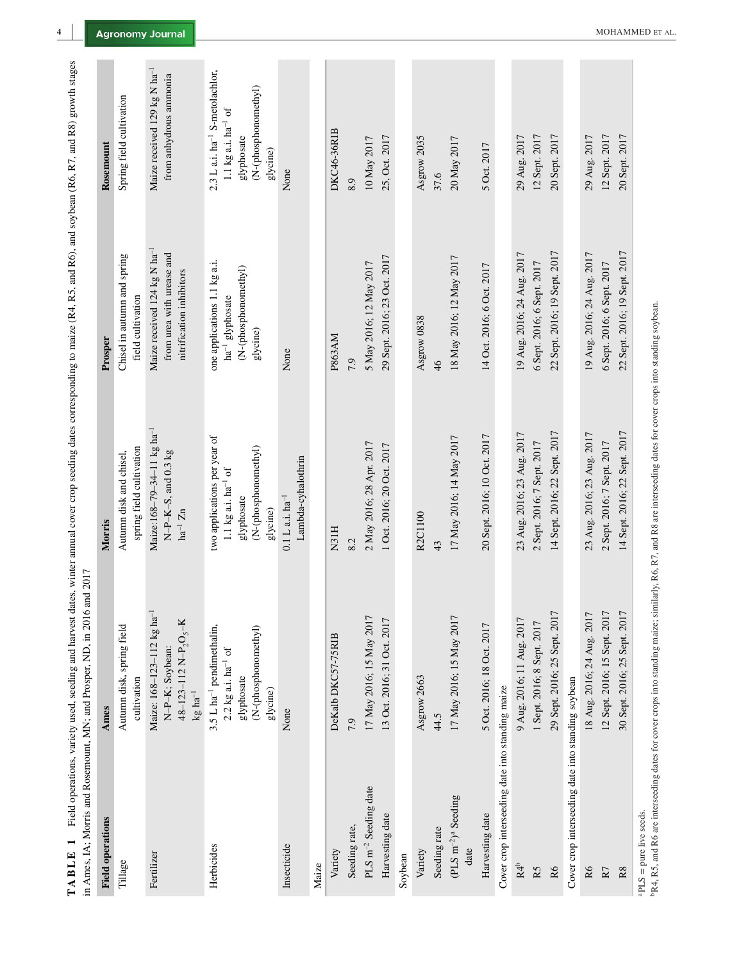| in Ames, IA; Morris and Rosemount, MN; and Prosper, ND, in 2016 | and 2017                                                                                                                              |                                                                                                                         |                                                                                                   |                                                                                                                          |
|-----------------------------------------------------------------|---------------------------------------------------------------------------------------------------------------------------------------|-------------------------------------------------------------------------------------------------------------------------|---------------------------------------------------------------------------------------------------|--------------------------------------------------------------------------------------------------------------------------|
| <b>Field operations</b>                                         | Ames                                                                                                                                  | Morris                                                                                                                  | Prosper                                                                                           | Rosemount                                                                                                                |
| Tillage                                                         | Autumn disk, spring field<br>cultivation                                                                                              | spring field cultivation<br>Autumn disk and chisel,                                                                     | Chisel in autumn and spring<br>field cultivation                                                  | Spring field cultivation                                                                                                 |
| Fertilizer                                                      | Maize: 168-123-112 kg ha <sup>-1</sup><br>$48 - 123 - 112$ N-P <sub>2</sub> O <sub>5</sub> -K<br>N-P-K; Soybean:<br>$\rm kg\,ha^{-1}$ | Maize:168-79-34-11 kg ha <sup>-1</sup><br>N-P-K-S, and 0.3 kg<br>$ha^{-1}Zn$                                            | Maize received 124 kg N ha <sup>-1</sup><br>from urea with urease and<br>nitrification inhibitors | Maize received 129 kg N ha <sup>-1</sup><br>from anhydrous ammonia                                                       |
| Herbicides                                                      | 3.5 L ha <sup>-1</sup> pendimethalin,<br>(N-(phosphonomethyl)<br>$2.2$ kg a.i. $ha^{-1}$ of<br>glyphosate<br>glycine)                 | two applications per year of<br>(N-(phosphonomethyl)<br>$1.1\ \mathrm{kg}$ a.i. ha $^{-1}$ of<br>glyphosate<br>glycine) | one applications 1.1 kg a.i.<br>(N-(phosphonomethyl)<br>ha <sup>-1</sup> glyphosate<br>glycine)   | 2.3 L a.i. ha <sup>-1</sup> S-metolachlor,<br>(N-(phosphonomethyl)<br>1.1 kg a.i. $ha^{-1}$ of<br>glyphosate<br>glycine) |
| Insecticide                                                     | None                                                                                                                                  | Lambda-cyhalothrin<br>$0.1 L a.i. ha^{-1}$                                                                              | None                                                                                              | None                                                                                                                     |
| Maize                                                           |                                                                                                                                       |                                                                                                                         |                                                                                                   |                                                                                                                          |
| Variety                                                         | DeKalb DKC57-75RIB                                                                                                                    | N31H                                                                                                                    | P863AM                                                                                            | <b>DKC46-36RIB</b>                                                                                                       |
| Seeding rate,                                                   | 7.9                                                                                                                                   | 8.2                                                                                                                     | 7.9                                                                                               | 8.9                                                                                                                      |
| PLS m <sup>-2</sup> Seeding date                                | 17 May 2016; 15 May 2017                                                                                                              | 2 May 2016; 28 Apr. 2017                                                                                                | 5 May 2016; 12 May 2017                                                                           | 10 May 2017                                                                                                              |
| Harvesting date                                                 | 13 Oct. 2016; 31 Oct. 2017                                                                                                            | 1 Oct. 2016; 20 Oct. 2017                                                                                               | 29 Sept. 2016; 23 Oct. 2017                                                                       | 25, Oct. 2017                                                                                                            |
| Soybean                                                         |                                                                                                                                       |                                                                                                                         |                                                                                                   |                                                                                                                          |
| Variety                                                         | Asgrow 2663                                                                                                                           | R2C1100                                                                                                                 | Asgrow 0838                                                                                       | Asgrow 2035                                                                                                              |
| Seeding rate                                                    | 44.5                                                                                                                                  | 43                                                                                                                      | $\frac{4}{6}$                                                                                     | 37.6                                                                                                                     |
| $(PLS \, m^{-2})^a$ Seeding<br>date                             | 17 May 2016; 15 May 2017                                                                                                              | 17 May 2016; 14 May 2017                                                                                                | 18 May 2016; 12 May 2017                                                                          | 20 May 2017                                                                                                              |
| Harvesting date                                                 | 5 Oct. 2016; 18 Oct. 2017                                                                                                             | 20 Sept. 2016; 10 Oct. 2017                                                                                             | 14 Oct. 2016; 6 Oct. 2017                                                                         | 5 Oct. 2017                                                                                                              |
| Cover crop interseeding date into standing maize                |                                                                                                                                       |                                                                                                                         |                                                                                                   |                                                                                                                          |
| R4 <sup>b</sup>                                                 | 9 Aug. 2016; 11 Aug. 2017                                                                                                             | 23 Aug. 2016; 23 Aug. 2017                                                                                              | 19 Aug. 2016; 24 Aug. 2017                                                                        | 29 Aug. 2017                                                                                                             |
| R5                                                              | 1 Sept. 2016; 8 Sept. 2017                                                                                                            | 2 Sept. 2016; 7 Sept. 2017                                                                                              | 6 Sept. 2016; 6 Sept. 2017                                                                        | 12 Sept. 2017                                                                                                            |
| R6                                                              | 29 Sept. 2016; 25 Sept. 2017                                                                                                          | 14 Sept. 2016; 22 Sept. 2017                                                                                            | 22 Sept. 2016; 19 Sept. 2017                                                                      | 20 Sept. 2017                                                                                                            |
| Cover crop interseeding date into standing soybean              |                                                                                                                                       |                                                                                                                         |                                                                                                   |                                                                                                                          |
| $\mathsf R6$                                                    | 18 Aug. 2016; 24 Aug. 2017                                                                                                            | 23 Aug. 2016; 23 Aug. 2017                                                                                              | 19 Aug. 2016; 24 Aug. 2017                                                                        | 29 Aug. 2017                                                                                                             |
| $\rm R7$                                                        | 12 Sept. 2016; 15 Sept. 2017                                                                                                          | 2 Sept. 2016; 7 Sept. 2017                                                                                              | 6 Sept. 2016; 6 Sept. 2017                                                                        | 12 Sept. 2017                                                                                                            |
| $_{\rm R8}$                                                     | 30 Sept. 2016; 25 Sept. 2017                                                                                                          | 14 Sept. 2016; 22 Sept. 2017                                                                                            | 22 Sept. 2016; 19 Sept. 2017                                                                      | 20 Sept. 2017                                                                                                            |
|                                                                 |                                                                                                                                       |                                                                                                                         |                                                                                                   |                                                                                                                          |

TABLE 1 Field operations, variety used, seeding and harvest dates, winter annual cover crop seeding dates corresponding to maize (R4, R5, and R6), and soybean (R6, R7, and R8) growth stages **TABLE 1** Field operations, variety used, seeding and harvest dates, winter annual cover crop seeding dates corresponding to maize (R4, R5, and R6), and soybean (R6, R7, and R8) growth stages

 $PLS = pure$  live seeds.

aPLS = pure live seeds.<br>bR4, R5, and R6 are interseeding dates for cover crops into standing maize; similarly, R6, R7, and R8 are interseeding dates for cover crops into standing soybean. bR4, R5, and R6 are interseeding dates for cover crops into standing maize; similarly, R6, R7, and R8 are interseeding dates for cover crops into standing soybean.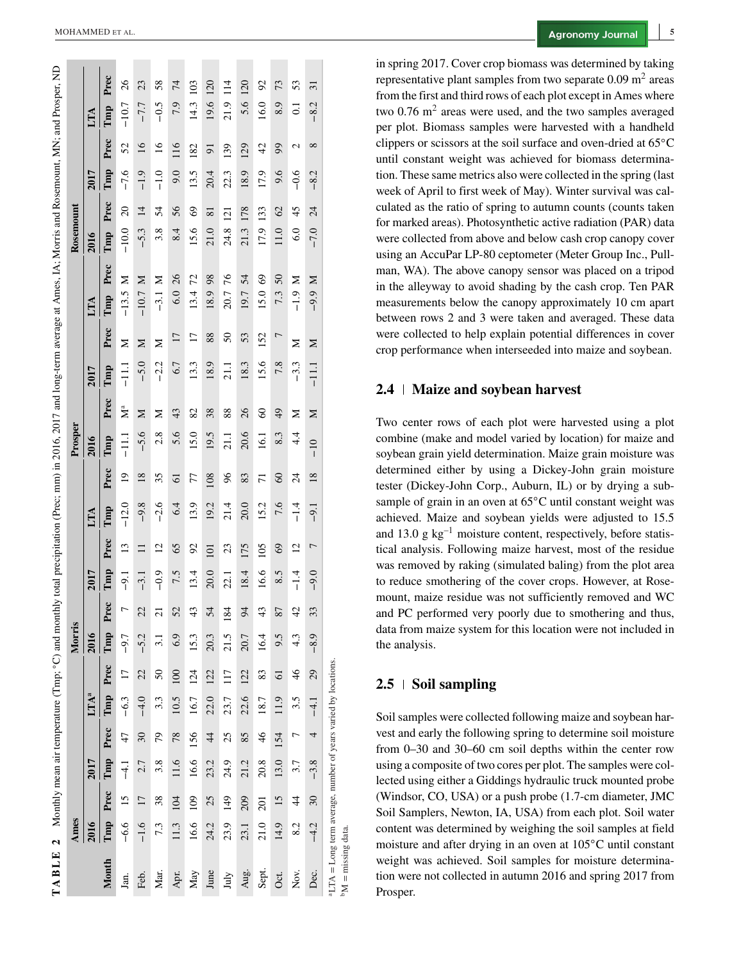|                                                                       |        |               |        |                 |                         |                 |                  |                 |        |                 |         |                |               |               |         |                 | TABLE 2 Monthly mean air temperature (Tmp; °C) and monthly total precipitation (Prec; mm) in 2016, 2017 and long-term average at Ames, IA; Morris and Rosemount, MN; and Prosper, ND |           |                 |        |                 |                        |      |
|-----------------------------------------------------------------------|--------|---------------|--------|-----------------|-------------------------|-----------------|------------------|-----------------|--------|-----------------|---------|----------------|---------------|---------------|---------|-----------------|--------------------------------------------------------------------------------------------------------------------------------------------------------------------------------------|-----------|-----------------|--------|-----------------|------------------------|------|
|                                                                       | Ames   |               |        |                 |                         |                 | Morris           |                 |        |                 |         |                | Prosper       |               |         |                 |                                                                                                                                                                                      | Rosemount |                 |        |                 |                        |      |
|                                                                       |        |               | 2017   |                 | <b>LTA</b> <sup>a</sup> |                 | 2016             |                 | 2017   |                 | LТА     |                | 2016          |               | 2017    |                 | LТА                                                                                                                                                                                  | 2016      |                 | 2017   |                 | ĽР                     |      |
| Month                                                                 | Tmp    | Prec          | Tmp    | Prec            | Tmp                     | Prec            | Tmp              | Prec            | Tmp    | Prec            | Tmp     | Prec           | Tmp           | Prec          | Tmp     | Prec            | Prec<br>Tmp                                                                                                                                                                          | Tmp       | Prec            | Tmp    | Prec            | Tmp                    | Prec |
| Jan.                                                                  | $-6.6$ | 15            | $-4.1$ | 47              | $-6.3$                  | $\overline{17}$ | $-9.7$           | $\overline{ }$  | $-9.1$ | $\overline{13}$ | $-12.0$ | $\overline{0}$ | $-11.1$       | Å             | $-11.1$ | Σ               | Σ<br>$-13.5$                                                                                                                                                                         | $-10.0$   | $\overline{20}$ | $-7.6$ | 52              | $-10.7$                | 26   |
| Feb.                                                                  | $-1.6$ | 17            | 2.7    | 30 <sub>o</sub> | $-4.0$                  | 22              | $-5.2$           | 22              | $-3.1$ | $\Xi$           | $-9.8$  | 18             | $-5.6$        | Σ             | $-5.0$  | Σ               | Σ<br>$-10.7$                                                                                                                                                                         | $-5.3$    | $\overline{4}$  | $-1.9$ | $\overline{16}$ | $-7.7$                 | 23   |
| Mar.                                                                  | 7.3    | 38            | 3.8    | 79              | 3.3                     | 50              | $\overline{3.1}$ | $\overline{c}$  | $-0.9$ | $\overline{c}$  | $-2.6$  | 35             | 2.8           | z             | $-2.2$  | Σ               | Σ<br>$-3.1$                                                                                                                                                                          | 3.8       | 54              | $-1.0$ | $\overline{16}$ | $-0.5$                 | 58   |
| Apr.                                                                  | 11.3   | 104           | 11.6   | 78              | 10.5                    | 100             | 6.9              | 52              | 7.5    | 65              | 6.4     | 61             | 5.6           | 43            | 6.7     | 17              | 26<br>6.0                                                                                                                                                                            | 8.4       | 56              | 0.6    | 116             | 7.9                    | 74   |
| May                                                                   | 16.6   | 109           | 16.6   | 156             | 16.7                    | 124             | 153              | 43              | 13.4   | 92              | 13.9    | 77             | 15.0          | 82            | 13.3    | $\overline{17}$ | 72<br>13.4                                                                                                                                                                           | 15.6      | $\degree$       | 13.5   | 182             | 103<br>14.3            |      |
| June                                                                  | 24.2   | 25            | 23.2   | $\overline{4}$  | 22.0                    | 122             | 20.3             | 54              | 20.0   | 101             | 19.2    | 108            | 19.5          | 38            | 18.9    | 88              | 98<br>18.9                                                                                                                                                                           | 21.0      | $\overline{81}$ | 20.4   | 51              | 120<br>19.6            |      |
| July                                                                  | 23.9   | 149           | 24.9   | 25              | 23.7                    | 117             | 21.5             | $\overline{84}$ | 22.1   | 23              | 21.4    | 96             | 21.1          | 88            | 21.1    | 50              | 76<br>20.7                                                                                                                                                                           | 24.8      | 121             | 22.3   | 139             | $\frac{14}{1}$<br>21.9 |      |
| Aug.                                                                  | 23.1   | 209           | 21.2   | 85              | 22.6                    | 122             | 20.7             | $\overline{6}$  | 18.4   | 175             | 20.0    | 83             | 20.6          | 26            | 18.3    | 53              | 54<br>19.7                                                                                                                                                                           | 21.3      | 178             | 18.9   | 129             | 120<br>5.6             |      |
| Sept.                                                                 | 21.0   | 201           | 20.8   | $\frac{4}{6}$   | 18.7                    | 83              | 16.4             | 43              | 16.6   | 105             | 15.2    | 11             | 16.1          | $\infty$      | 15.6    | 152             | $\mathcal{S}$<br>15.0                                                                                                                                                                | 17.9      | 133             | 17.9   | 42              | 16.0                   | 50   |
| Oct.                                                                  | 14.9   | 15            | 13.0   | 154             | 11.9                    | $\overline{6}$  | 9.5              | 87              | 8.5    | $\mathcal{S}$   | 7.6     | $\infty$       | 8.3           | $\frac{4}{9}$ | 7.8     | $\overline{ }$  | $50\,$<br>7.3                                                                                                                                                                        | 11.0      | $\mathcal{O}$   | 9.6    | 99              | 8.9                    | 73   |
| Nov.                                                                  | 8.2    | $\frac{4}{4}$ | 3.7    |                 | 3.5                     | $\frac{4}{6}$   | 4.3              | $\overline{4}$  | $-1.4$ | $\overline{c}$  | $-1.4$  | $\overline{c}$ | $\frac{4}{4}$ | ≍             | $-3.3$  | ≍               | Σ<br>$-1.9$                                                                                                                                                                          | 6.0       | 45              | $-0.6$ | $\mathbf{\sim}$ | $\overline{0}$         | 53   |
| Dec.                                                                  | $-4.2$ | 30            | $-3.8$ | 4               | $-4.1$                  | 29              | $-8.9$           | 33              | $-9.0$ | 7               | $-9.1$  | 18             | $-10$         | ⊠             | $-11.1$ | Σ               | Σ<br>$-9.9$                                                                                                                                                                          | $-7.0$    | 24              | $-8.2$ | $^{\circ}$      | $-8.2$                 | 5    |
| ${}^{4}LTA = Long$ term average, number of years varied by locations. |        |               |        |                 |                         |                 |                  |                 |        |                 |         |                |               |               |         |                 |                                                                                                                                                                                      |           |                 |        |                 |                        |      |

**5**

in spring 2017. Cover crop biomass was determined by taking representative plant samples from two separate  $0.09 \text{ m}^2$  areas from the first and third rows of each plot except in Ames where two  $0.76$  m<sup>2</sup> areas were used, and the two samples averaged per plot. Biomass samples were harvested with a handheld clippers or scissors at the soil surface and oven-dried at 65 ◦ C until constant weight was achieved for biomass determination. These same metrics also were collected in the spring (last week of April to first week of May). Winter survival was calculated as the ratio of spring to autumn counts (counts taken for marked areas). Photosynthetic active radiation (PAR) data were collected from above and below cash crop canopy cover using an AccuPar LP-80 ceptometer (Meter Group Inc., Pullman, WA). The above canopy sensor was placed on a tripod in the alleyway to avoid shading by the cash crop. Ten PAR measurements below the canopy approximately 10 cm apart between rows 2 and 3 were taken and averaged. These data were collected to help explain potential differences in cover crop performance when interseeded into maize and soybean.

### **2.4 Maize and soybean harvest**

Two center rows of each plot were harvested using a plot combine (make and model varied by location) for maize and soybean grain yield determination. Maize grain moisture was determined either by using a Dickey-John grain moisture tester (Dickey-John Corp., Auburn, IL) or by drying a subsample of grain in an oven at 65◦C until constant weight was achieved. Maize and soybean yields were adjusted to 15.5 and 13.0 g  $kg^{-1}$  moisture content, respectively, before statistical analysis. Following maize harvest, most of the residue was removed by raking (simulated baling) from the plot area to reduce smothering of the cover crops. However, at Rosemount, maize residue was not sufficiently removed and WC and PC performed very poorly due to smothering and thus, data from maize system for this location were not included in the analysis.

# **2.5 Soil sampling**

 $M =$  missing data.

 $M = \text{missing data}$ 

Soil samples were collected following maize and soybean harvest and early the following spring to determine soil moisture from 0–30 and 30–60 cm soil depths within the center row using a composite of two cores per plot. The samples were collected using either a Giddings hydraulic truck mounted probe (Windsor, CO, USA) or a push probe (1.7-cm diameter, JMC Soil Samplers, Newton, IA, USA) from each plot. Soil water content was determined by weighing the soil samples at field moisture and after drying in an oven at 105 ◦C until constant weight was achieved. Soil samples for moisture determination were not collected in autumn 2016 and spring 2017 from Prosper.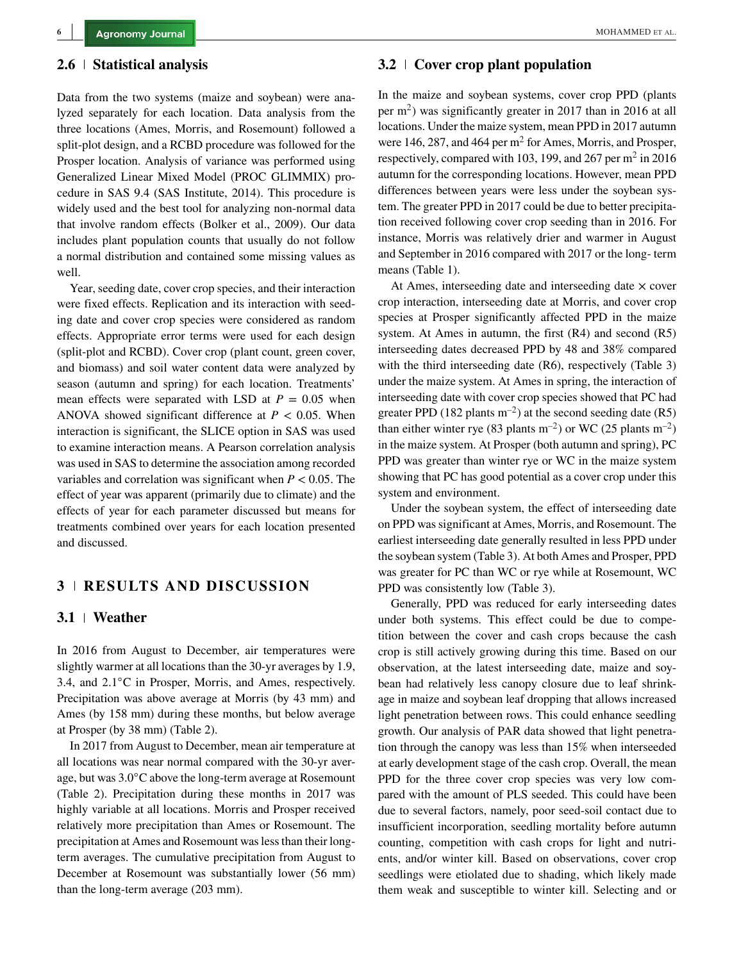#### **2.6 Statistical analysis**

Data from the two systems (maize and soybean) were analyzed separately for each location. Data analysis from the three locations (Ames, Morris, and Rosemount) followed a split-plot design, and a RCBD procedure was followed for the Prosper location. Analysis of variance was performed using Generalized Linear Mixed Model (PROC GLIMMIX) procedure in SAS 9.4 (SAS Institute, 2014). This procedure is widely used and the best tool for analyzing non-normal data that involve random effects (Bolker et al., 2009). Our data includes plant population counts that usually do not follow a normal distribution and contained some missing values as well.

Year, seeding date, cover crop species, and their interaction were fixed effects. Replication and its interaction with seeding date and cover crop species were considered as random effects. Appropriate error terms were used for each design (split-plot and RCBD). Cover crop (plant count, green cover, and biomass) and soil water content data were analyzed by season (autumn and spring) for each location. Treatments' mean effects were separated with LSD at  $P = 0.05$  when ANOVA showed significant difference at  $P < 0.05$ . When interaction is significant, the SLICE option in SAS was used to examine interaction means. A Pearson correlation analysis was used in SAS to determine the association among recorded variables and correlation was significant when  $P < 0.05$ . The effect of year was apparent (primarily due to climate) and the effects of year for each parameter discussed but means for treatments combined over years for each location presented and discussed.

#### **3 | RESULTS AND DISCUSSION 3 RESULTS AND DISCUSSION**

#### **3.1 Weather**

In 2016 from August to December, air temperatures were slightly warmer at all locations than the 30-yr averages by 1.9, 3.4, and 2.1◦C in Prosper, Morris, and Ames, respectively. Precipitation was above average at Morris (by 43 mm) and Ames (by 158 mm) during these months, but below average at Prosper (by 38 mm) (Table 2).

In 2017 from August to December, mean air temperature at all locations was near normal compared with the 30-yr average, but was 3.0◦C above the long-term average at Rosemount (Table 2). Precipitation during these months in 2017 was highly variable at all locations. Morris and Prosper received relatively more precipitation than Ames or Rosemount. The precipitation at Ames and Rosemount was less than their longterm averages. The cumulative precipitation from August to December at Rosemount was substantially lower (56 mm) than the long-term average (203 mm).

## **3.2 Cover crop plant population**

In the maize and soybean systems, cover crop PPD (plants per  $m<sup>2</sup>$ ) was significantly greater in 2017 than in 2016 at all locations. Under the maize system, mean PPD in 2017 autumn were 146, 287, and 464 per  $m^2$  for Ames, Morris, and Prosper, respectively, compared with 103, 199, and 267 per  $m<sup>2</sup>$  in 2016 autumn for the corresponding locations. However, mean PPD differences between years were less under the soybean system. The greater PPD in 2017 could be due to better precipitation received following cover crop seeding than in 2016. For instance, Morris was relatively drier and warmer in August and September in 2016 compared with 2017 or the long- term means (Table 1).

At Ames, interseeding date and interseeding date  $\times$  cover crop interaction, interseeding date at Morris, and cover crop species at Prosper significantly affected PPD in the maize system. At Ames in autumn, the first (R4) and second (R5) interseeding dates decreased PPD by 48 and 38% compared with the third interseeding date (R6), respectively (Table 3) under the maize system. At Ames in spring, the interaction of interseeding date with cover crop species showed that PC had greater PPD (182 plants  $m^{-2}$ ) at the second seeding date (R5) than either winter rye (83 plants  $m^{-2}$ ) or WC (25 plants  $m^{-2}$ ) in the maize system. At Prosper (both autumn and spring), PC PPD was greater than winter rye or WC in the maize system showing that PC has good potential as a cover crop under this system and environment.

Under the soybean system, the effect of interseeding date on PPD was significant at Ames, Morris, and Rosemount. The earliest interseeding date generally resulted in less PPD under the soybean system (Table 3). At both Ames and Prosper, PPD was greater for PC than WC or rye while at Rosemount, WC PPD was consistently low (Table 3).

Generally, PPD was reduced for early interseeding dates under both systems. This effect could be due to competition between the cover and cash crops because the cash crop is still actively growing during this time. Based on our observation, at the latest interseeding date, maize and soybean had relatively less canopy closure due to leaf shrinkage in maize and soybean leaf dropping that allows increased light penetration between rows. This could enhance seedling growth. Our analysis of PAR data showed that light penetration through the canopy was less than 15% when interseeded at early development stage of the cash crop. Overall, the mean PPD for the three cover crop species was very low compared with the amount of PLS seeded. This could have been due to several factors, namely, poor seed-soil contact due to insufficient incorporation, seedling mortality before autumn counting, competition with cash crops for light and nutrients, and/or winter kill. Based on observations, cover crop seedlings were etiolated due to shading, which likely made them weak and susceptible to winter kill. Selecting and or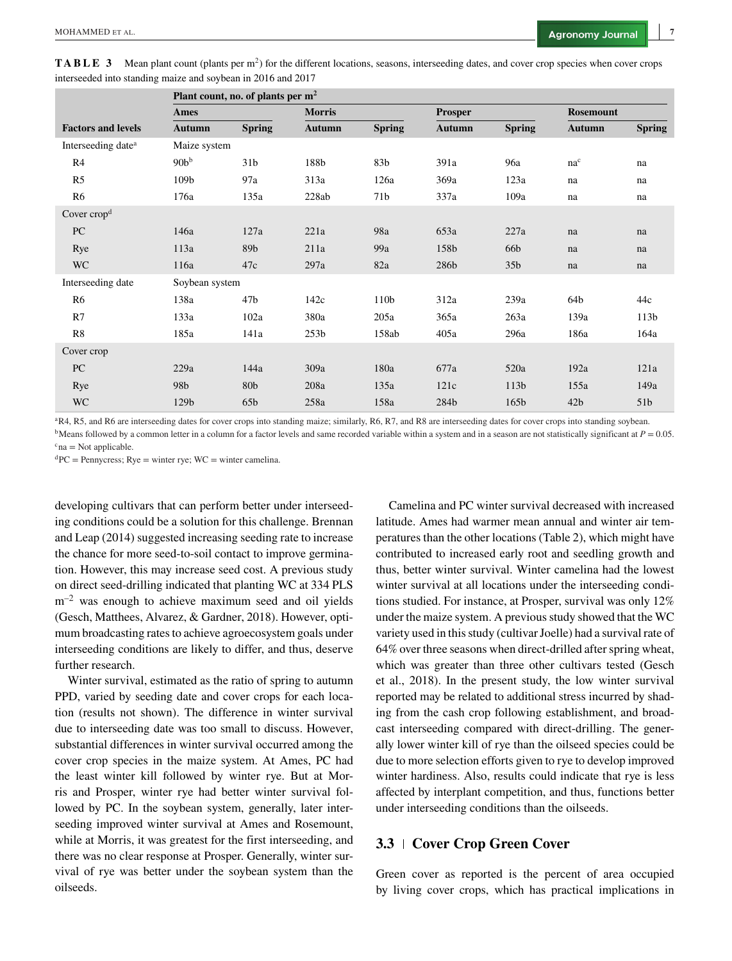| <b>TABLE 3</b> Mean plant count (plants per $m^2$ ) for the different locations, seasons, interseeding dates, and cover crop species when cover crops |  |  |
|-------------------------------------------------------------------------------------------------------------------------------------------------------|--|--|
| interseeded into standing maize and soybean in 2016 and 2017                                                                                          |  |  |

|                                |                  | Plant count, no. of plants per $m2$ |                  |                 |                |                  |                  |                  |
|--------------------------------|------------------|-------------------------------------|------------------|-----------------|----------------|------------------|------------------|------------------|
|                                | Ames             |                                     | <b>Morris</b>    |                 | <b>Prosper</b> |                  | <b>Rosemount</b> |                  |
| <b>Factors and levels</b>      | <b>Autumn</b>    | <b>Spring</b>                       | <b>Autumn</b>    | <b>Spring</b>   | <b>Autumn</b>  | <b>Spring</b>    | <b>Autumn</b>    | <b>Spring</b>    |
| Interseeding date <sup>a</sup> | Maize system     |                                     |                  |                 |                |                  |                  |                  |
| R4                             | 90b <sup>b</sup> | 31 <sub>b</sub>                     | 188b             | 83b             | 391a           | 96a              | $na^c$           | na               |
| R <sub>5</sub>                 | 109b             | 97a                                 | 313a             | 126a            | 369a           | 123a             | na               | na               |
| R <sub>6</sub>                 | 176a             | 135a                                | 228ab            | 71 <sub>b</sub> | 337a           | 109a             | na               | na               |
| Cover crop <sup>d</sup>        |                  |                                     |                  |                 |                |                  |                  |                  |
| PC                             | 146a             | 127a                                | 221a             | 98a             | 653a           | 227a             | na               | na               |
| Rye                            | 113a             | 89b                                 | 211a             | 99a             | 158b           | 66 <sub>b</sub>  | na               | na               |
| <b>WC</b>                      | 116a             | 47c                                 | 297a             | 82a             | 286b           | 35 <sub>b</sub>  | na               | na               |
| Interseeding date              | Soybean system   |                                     |                  |                 |                |                  |                  |                  |
| R <sub>6</sub>                 | 138a             | 47 <sub>b</sub>                     | 142c             | 110b            | 312a           | 239a             | 64b              | 44c              |
| R7                             | 133a             | 102a                                | 380a             | 205a            | 365a           | 263a             | 139a             | 113 <sub>b</sub> |
| R8                             | 185a             | 141a                                | 253 <sub>b</sub> | 158ab           | 405a           | 296a             | 186a             | 164a             |
| Cover crop                     |                  |                                     |                  |                 |                |                  |                  |                  |
| PC                             | 229a             | 144a                                | 309a             | 180a            | 677a           | 520a             | 192a             | 121a             |
| Rye                            | 98 <b>b</b>      | 80b                                 | 208a             | 135a            | 121c           | 113 <sub>b</sub> | 155a             | 149a             |
| <b>WC</b>                      | 129b             | 65 <sub>b</sub>                     | 258a             | 158a            | 284b           | 165b             | 42 <sub>b</sub>  | 51 <sub>b</sub>  |

aR4, R5, and R6 are interseeding dates for cover crops into standing maize; similarly, R6, R7, and R8 are interseeding dates for cover crops into standing soybean. <sup>b</sup>Means followed by a common letter in a column for a factor levels and same recorded variable within a system and in a season are not statistically significant at  $P = 0.05$ .

 $c<sub>na</sub>$  = Not applicable.

 ${}^{d}PC$  = Pennycress; Rye = winter rye; WC = winter camelina.

developing cultivars that can perform better under interseeding conditions could be a solution for this challenge. Brennan and Leap (2014) suggested increasing seeding rate to increase the chance for more seed-to-soil contact to improve germination. However, this may increase seed cost. A previous study on direct seed-drilling indicated that planting WC at 334 PLS  $m^{-2}$  was enough to achieve maximum seed and oil yields (Gesch, Matthees, Alvarez, & Gardner, 2018). However, optimum broadcasting rates to achieve agroecosystem goals under interseeding conditions are likely to differ, and thus, deserve further research.

Winter survival, estimated as the ratio of spring to autumn PPD, varied by seeding date and cover crops for each location (results not shown). The difference in winter survival due to interseeding date was too small to discuss. However, substantial differences in winter survival occurred among the cover crop species in the maize system. At Ames, PC had the least winter kill followed by winter rye. But at Morris and Prosper, winter rye had better winter survival followed by PC. In the soybean system, generally, later interseeding improved winter survival at Ames and Rosemount, while at Morris, it was greatest for the first interseeding, and there was no clear response at Prosper. Generally, winter survival of rye was better under the soybean system than the oilseeds.

Camelina and PC winter survival decreased with increased latitude. Ames had warmer mean annual and winter air temperatures than the other locations (Table 2), which might have contributed to increased early root and seedling growth and thus, better winter survival. Winter camelina had the lowest winter survival at all locations under the interseeding conditions studied. For instance, at Prosper, survival was only 12% under the maize system. A previous study showed that the WC variety used in this study (cultivar Joelle) had a survival rate of 64% over three seasons when direct-drilled after spring wheat, which was greater than three other cultivars tested (Gesch et al., 2018). In the present study, the low winter survival reported may be related to additional stress incurred by shading from the cash crop following establishment, and broadcast interseeding compared with direct-drilling. The generally lower winter kill of rye than the oilseed species could be due to more selection efforts given to rye to develop improved winter hardiness. Also, results could indicate that rye is less affected by interplant competition, and thus, functions better under interseeding conditions than the oilseeds.

### **3.3 Cover Crop Green Cover**

Green cover as reported is the percent of area occupied by living cover crops, which has practical implications in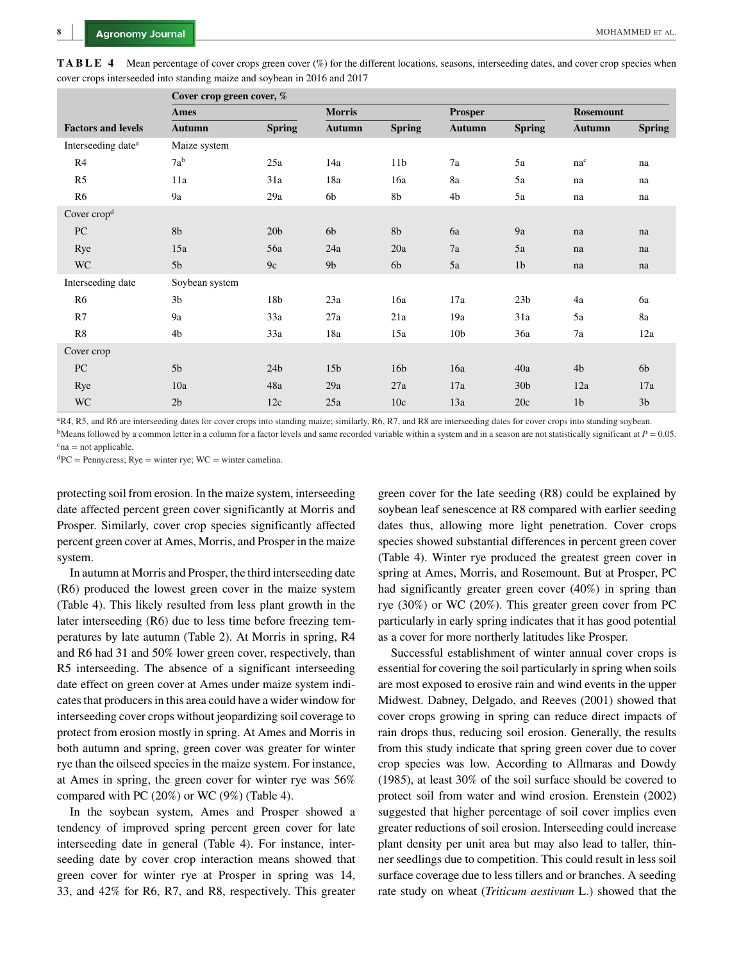|                                | Cover crop green cover, % |                 |                 |                 |                 |                 |                  |                |
|--------------------------------|---------------------------|-----------------|-----------------|-----------------|-----------------|-----------------|------------------|----------------|
|                                | Ames                      |                 | <b>Morris</b>   |                 | <b>Prosper</b>  |                 | <b>Rosemount</b> |                |
| <b>Factors and levels</b>      | <b>Autumn</b>             | <b>Spring</b>   | <b>Autumn</b>   | <b>Spring</b>   | <b>Autumn</b>   | <b>Spring</b>   | <b>Autumn</b>    | <b>Spring</b>  |
| Interseeding date <sup>a</sup> | Maize system              |                 |                 |                 |                 |                 |                  |                |
| R4                             | $7a^b$                    | 25a             | 14a             | 11 <sub>b</sub> | 7a              | 5a              | $na^c$           | na             |
| R <sub>5</sub>                 | 11a                       | 31a             | 18a             | 16a             | 8a              | 5a              | na               | na             |
| R <sub>6</sub>                 | 9a                        | 29a             | 6b              | 8b              | 4 <sub>b</sub>  | 5a              | na               | na             |
| Cover crop <sup>d</sup>        |                           |                 |                 |                 |                 |                 |                  |                |
| PC                             | 8b                        | 20 <sub>b</sub> | 6 <sub>b</sub>  | 8b              | 6a              | 9a              | na               | na             |
| Rye                            | 15a                       | 56a             | 24a             | 20a             | 7a              | 5a              | na               | na             |
| <b>WC</b>                      | 5 <sub>b</sub>            | 9c              | 9 <sub>b</sub>  | 6b              | 5a              | 1 <sub>b</sub>  | na               | na             |
| Interseeding date              | Soybean system            |                 |                 |                 |                 |                 |                  |                |
| R <sub>6</sub>                 | 3 <sub>b</sub>            | 18b             | 23a             | 16a             | 17a             | 23 <sub>b</sub> | 4a               | 6a             |
| R7                             | 9a                        | 33a             | 27a             | 21a             | 19a             | 31a             | 5a               | 8a             |
| R8                             | 4b                        | 33a             | 18a             | 15a             | 10 <sub>b</sub> | 36a             | 7a               | 12a            |
| Cover crop                     |                           |                 |                 |                 |                 |                 |                  |                |
| PC                             | 5 <sub>b</sub>            | 24 <sub>b</sub> | 15 <sub>b</sub> | 16 <sub>b</sub> | 16a             | 40a             | 4 <sub>b</sub>   | 6 <sub>b</sub> |
| Rye                            | 10a                       | 48a             | 29a             | 27a             | 17a             | 30 <sub>b</sub> | 12a              | 17a            |
| <b>WC</b>                      | 2 <sub>b</sub>            | 12c             | 25a             | 10c             | 13a             | 20c             | 1 <sub>b</sub>   | 3 <sub>b</sub> |

**TABLE 4** Mean percentage of cover crops green cover (%) for the different locations, seasons, interseeding dates, and cover crop species when cover crops interseeded into standing maize and soybean in 2016 and 2017

aR4, R5, and R6 are interseeding dates for cover crops into standing maize; similarly, R6, R7, and R8 are interseeding dates for cover crops into standing soybean.  $b$ Means followed by a common letter in a column for a factor levels and same recorded variable within a system and in a season are not statistically significant at  $P = 0.05$ .

 $c<sub>na</sub> = not applicable.$ 

 ${}^{d}PC$  = Pennycress; Rye = winter rye; WC = winter camelina.

protecting soil from erosion. In the maize system, interseeding date affected percent green cover significantly at Morris and Prosper. Similarly, cover crop species significantly affected percent green cover at Ames, Morris, and Prosper in the maize system.

In autumn at Morris and Prosper, the third interseeding date (R6) produced the lowest green cover in the maize system (Table 4). This likely resulted from less plant growth in the later interseeding (R6) due to less time before freezing temperatures by late autumn (Table 2). At Morris in spring, R4 and R6 had 31 and 50% lower green cover, respectively, than R5 interseeding. The absence of a significant interseeding date effect on green cover at Ames under maize system indicates that producers in this area could have a wider window for interseeding cover crops without jeopardizing soil coverage to protect from erosion mostly in spring. At Ames and Morris in both autumn and spring, green cover was greater for winter rye than the oilseed species in the maize system. For instance, at Ames in spring, the green cover for winter rye was 56% compared with PC (20%) or WC (9%) (Table 4).

In the soybean system, Ames and Prosper showed a tendency of improved spring percent green cover for late interseeding date in general (Table 4). For instance, interseeding date by cover crop interaction means showed that green cover for winter rye at Prosper in spring was 14, 33, and 42% for R6, R7, and R8, respectively. This greater green cover for the late seeding (R8) could be explained by soybean leaf senescence at R8 compared with earlier seeding dates thus, allowing more light penetration. Cover crops species showed substantial differences in percent green cover (Table 4). Winter rye produced the greatest green cover in spring at Ames, Morris, and Rosemount. But at Prosper, PC had significantly greater green cover (40%) in spring than rye (30%) or WC (20%). This greater green cover from PC particularly in early spring indicates that it has good potential as a cover for more northerly latitudes like Prosper.

Successful establishment of winter annual cover crops is essential for covering the soil particularly in spring when soils are most exposed to erosive rain and wind events in the upper Midwest. Dabney, Delgado, and Reeves (2001) showed that cover crops growing in spring can reduce direct impacts of rain drops thus, reducing soil erosion. Generally, the results from this study indicate that spring green cover due to cover crop species was low. According to Allmaras and Dowdy (1985), at least 30% of the soil surface should be covered to protect soil from water and wind erosion. Erenstein (2002) suggested that higher percentage of soil cover implies even greater reductions of soil erosion. Interseeding could increase plant density per unit area but may also lead to taller, thinner seedlings due to competition. This could result in less soil surface coverage due to less tillers and or branches. A seeding rate study on wheat (*Triticum aestivum* L.) showed that the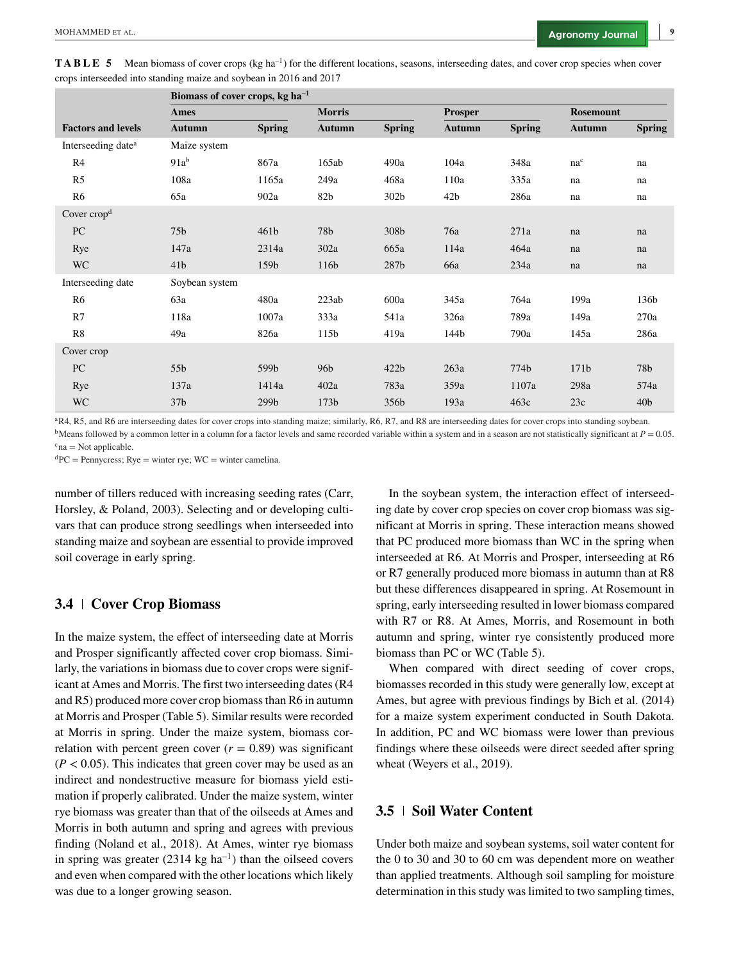**TABLE 5** Mean biomass of cover crops (kg ha<sup>-1</sup>) for the different locations, seasons, interseeding dates, and cover crop species when cover crops interseeded into standing maize and soybean in 2016 and 2017

|                                | Biomass of cover crops, $kg \text{ ha}^{-1}$ |                  |                  |                  |                 |               |                  |                 |  |
|--------------------------------|----------------------------------------------|------------------|------------------|------------------|-----------------|---------------|------------------|-----------------|--|
|                                | Ames                                         |                  | <b>Morris</b>    |                  | <b>Prosper</b>  |               | <b>Rosemount</b> |                 |  |
| <b>Factors and levels</b>      | <b>Autumn</b>                                | <b>Spring</b>    | <b>Autumn</b>    | <b>Spring</b>    | <b>Autumn</b>   | <b>Spring</b> | <b>Autumn</b>    | <b>Spring</b>   |  |
| Interseeding date <sup>a</sup> | Maize system                                 |                  |                  |                  |                 |               |                  |                 |  |
| R4                             | $91a^b$                                      | 867a             | 165ab            | 490a             | 104a            | 348a          | $na^c$           | na              |  |
| R <sub>5</sub>                 | 108a                                         | 1165a            | 249a             | 468a             | 110a            | 335a          | na               | na              |  |
| R6                             | 65a                                          | 902a             | 82b              | 302b             | 42 <sub>b</sub> | 286a          | na               | na              |  |
| Cover $\text{crop}^d$          |                                              |                  |                  |                  |                 |               |                  |                 |  |
| PC                             | 75 <sub>b</sub>                              | 461 <sub>b</sub> | 78b              | 308b             | 76a             | 271a          | na               | na              |  |
| Rye                            | 147a                                         | 2314a            | 302a             | 665a             | 114a            | 464a          | na               | na              |  |
| <b>WC</b>                      | 41 <sub>b</sub>                              | 159 <sub>b</sub> | 116b             | 287b             | 66a             | 234a          | na               | na              |  |
| Interseeding date              | Soybean system                               |                  |                  |                  |                 |               |                  |                 |  |
| R <sub>6</sub>                 | 63a                                          | 480a             | 223ab            | 600a             | 345a            | 764a          | 199a             | 136b            |  |
| R7                             | 118a                                         | 1007a            | 333a             | 541a             | 326a            | 789a          | 149a             | 270a            |  |
| R8                             | 49a                                          | 826a             | 115 <sub>b</sub> | 419a             | 144b            | 790a          | 145a             | 286a            |  |
| Cover crop                     |                                              |                  |                  |                  |                 |               |                  |                 |  |
| ${\rm P}{\bf C}$               | 55 <sub>b</sub>                              | 599b             | 96 <sub>b</sub>  | 422 <sub>b</sub> | 263a            | 774b          | 171 <sub>b</sub> | 78b             |  |
| Rye                            | 137a                                         | 1414a            | 402a             | 783a             | 359a            | 1107a         | 298a             | 574a            |  |
| <b>WC</b>                      | 37 <sub>b</sub>                              | 299 <sub>b</sub> | 173 <sub>b</sub> | 356b             | 193a            | 463c          | 23c              | 40 <sub>b</sub> |  |

aR4, R5, and R6 are interseeding dates for cover crops into standing maize; similarly, R6, R7, and R8 are interseeding dates for cover crops into standing soybean. <sup>b</sup>Means followed by a common letter in a column for a factor levels and same recorded variable within a system and in a season are not statistically significant at  $P = 0.05$ .

 $c<sub>na</sub>$  = Not applicable.

 ${}^{d}PC$  = Pennycress; Rye = winter rye; WC = winter camelina.

number of tillers reduced with increasing seeding rates (Carr, Horsley, & Poland, 2003). Selecting and or developing cultivars that can produce strong seedlings when interseeded into standing maize and soybean are essential to provide improved soil coverage in early spring.

## **3.4 Cover Crop Biomass**

In the maize system, the effect of interseeding date at Morris and Prosper significantly affected cover crop biomass. Similarly, the variations in biomass due to cover crops were significant at Ames and Morris. The first two interseeding dates (R4 and R5) produced more cover crop biomass than R6 in autumn at Morris and Prosper (Table 5). Similar results were recorded at Morris in spring. Under the maize system, biomass correlation with percent green cover  $(r = 0.89)$  was significant  $(P < 0.05)$ . This indicates that green cover may be used as an indirect and nondestructive measure for biomass yield estimation if properly calibrated. Under the maize system, winter rye biomass was greater than that of the oilseeds at Ames and Morris in both autumn and spring and agrees with previous finding (Noland et al., 2018). At Ames, winter rye biomass in spring was greater  $(2314 \text{ kg ha}^{-1})$  than the oilseed covers and even when compared with the other locations which likely was due to a longer growing season.

In the soybean system, the interaction effect of interseeding date by cover crop species on cover crop biomass was significant at Morris in spring. These interaction means showed that PC produced more biomass than WC in the spring when interseeded at R6. At Morris and Prosper, interseeding at R6 or R7 generally produced more biomass in autumn than at R8 but these differences disappeared in spring. At Rosemount in spring, early interseeding resulted in lower biomass compared with R7 or R8. At Ames, Morris, and Rosemount in both autumn and spring, winter rye consistently produced more biomass than PC or WC (Table 5).

When compared with direct seeding of cover crops, biomasses recorded in this study were generally low, except at Ames, but agree with previous findings by Bich et al. (2014) for a maize system experiment conducted in South Dakota. In addition, PC and WC biomass were lower than previous findings where these oilseeds were direct seeded after spring wheat (Weyers et al., 2019).

# **3.5 Soil Water Content**

Under both maize and soybean systems, soil water content for the 0 to 30 and 30 to 60 cm was dependent more on weather than applied treatments. Although soil sampling for moisture determination in this study was limited to two sampling times,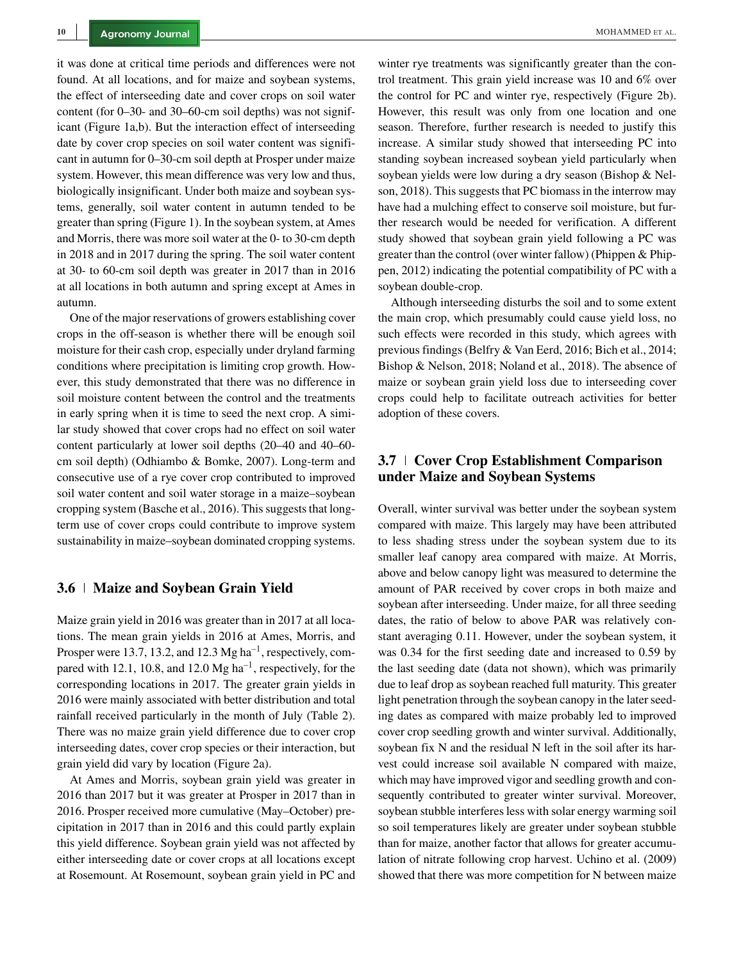it was done at critical time periods and differences were not found. At all locations, and for maize and soybean systems, the effect of interseeding date and cover crops on soil water content (for 0–30- and 30–60-cm soil depths) was not significant (Figure 1a,b). But the interaction effect of interseeding date by cover crop species on soil water content was significant in autumn for 0–30-cm soil depth at Prosper under maize system. However, this mean difference was very low and thus, biologically insignificant. Under both maize and soybean systems, generally, soil water content in autumn tended to be greater than spring (Figure 1). In the soybean system, at Ames and Morris, there was more soil water at the 0- to 30-cm depth in 2018 and in 2017 during the spring. The soil water content at 30- to 60-cm soil depth was greater in 2017 than in 2016 at all locations in both autumn and spring except at Ames in autumn.

One of the major reservations of growers establishing cover crops in the off-season is whether there will be enough soil moisture for their cash crop, especially under dryland farming conditions where precipitation is limiting crop growth. However, this study demonstrated that there was no difference in soil moisture content between the control and the treatments in early spring when it is time to seed the next crop. A similar study showed that cover crops had no effect on soil water content particularly at lower soil depths (20–40 and 40–60 cm soil depth) (Odhiambo & Bomke, 2007). Long-term and consecutive use of a rye cover crop contributed to improved soil water content and soil water storage in a maize–soybean cropping system (Basche et al., 2016). This suggests that longterm use of cover crops could contribute to improve system sustainability in maize–soybean dominated cropping systems.

#### **3.6 Maize and Soybean Grain Yield**

Maize grain yield in 2016 was greater than in 2017 at all locations. The mean grain yields in 2016 at Ames, Morris, and Prosper were 13.7, 13.2, and 12.3  $Mg$  ha<sup>-1</sup>, respectively, compared with 12.1, 10.8, and 12.0  $Mg$  ha<sup>-1</sup>, respectively, for the corresponding locations in 2017. The greater grain yields in 2016 were mainly associated with better distribution and total rainfall received particularly in the month of July (Table 2). There was no maize grain yield difference due to cover crop interseeding dates, cover crop species or their interaction, but grain yield did vary by location (Figure 2a).

At Ames and Morris, soybean grain yield was greater in 2016 than 2017 but it was greater at Prosper in 2017 than in 2016. Prosper received more cumulative (May–October) precipitation in 2017 than in 2016 and this could partly explain this yield difference. Soybean grain yield was not affected by either interseeding date or cover crops at all locations except at Rosemount. At Rosemount, soybean grain yield in PC and winter rye treatments was significantly greater than the control treatment. This grain yield increase was 10 and 6% over the control for PC and winter rye, respectively (Figure 2b). However, this result was only from one location and one season. Therefore, further research is needed to justify this increase. A similar study showed that interseeding PC into standing soybean increased soybean yield particularly when soybean yields were low during a dry season (Bishop & Nelson, 2018). This suggests that PC biomass in the interrow may have had a mulching effect to conserve soil moisture, but further research would be needed for verification. A different study showed that soybean grain yield following a PC was greater than the control (over winter fallow) (Phippen & Phippen, 2012) indicating the potential compatibility of PC with a soybean double-crop.

Although interseeding disturbs the soil and to some extent the main crop, which presumably could cause yield loss, no such effects were recorded in this study, which agrees with previous findings (Belfry & Van Eerd, 2016; Bich et al., 2014; Bishop & Nelson, 2018; Noland et al., 2018). The absence of maize or soybean grain yield loss due to interseeding cover crops could help to facilitate outreach activities for better adoption of these covers.

# **3.7 Cover Crop Establishment Comparison under Maize and Soybean Systems**

Overall, winter survival was better under the soybean system compared with maize. This largely may have been attributed to less shading stress under the soybean system due to its smaller leaf canopy area compared with maize. At Morris, above and below canopy light was measured to determine the amount of PAR received by cover crops in both maize and soybean after interseeding. Under maize, for all three seeding dates, the ratio of below to above PAR was relatively constant averaging 0.11. However, under the soybean system, it was 0.34 for the first seeding date and increased to 0.59 by the last seeding date (data not shown), which was primarily due to leaf drop as soybean reached full maturity. This greater light penetration through the soybean canopy in the later seeding dates as compared with maize probably led to improved cover crop seedling growth and winter survival. Additionally, soybean fix N and the residual N left in the soil after its harvest could increase soil available N compared with maize, which may have improved vigor and seedling growth and consequently contributed to greater winter survival. Moreover, soybean stubble interferes less with solar energy warming soil so soil temperatures likely are greater under soybean stubble than for maize, another factor that allows for greater accumulation of nitrate following crop harvest. Uchino et al. (2009) showed that there was more competition for N between maize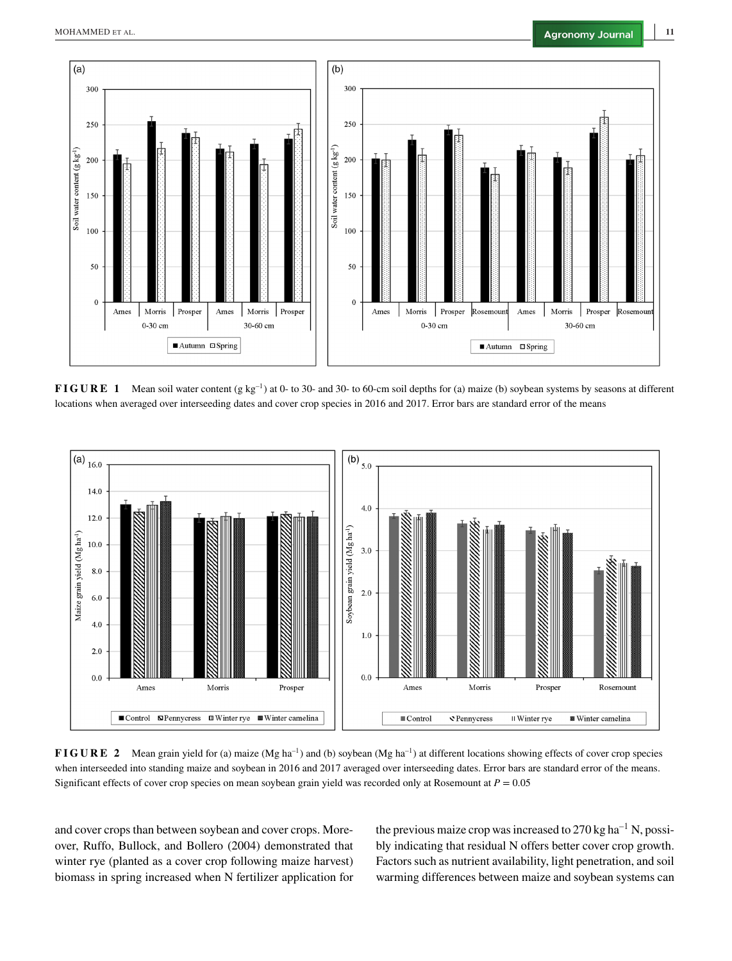

**FIGURE 1** Mean soil water content (g kg<sup>-1</sup>) at 0- to 30- and 30- to 60-cm soil depths for (a) maize (b) soybean systems by seasons at different locations when averaged over interseeding dates and cover crop species in 2016 and 2017. Error bars are standard error of the means



**FIGURE 2** Mean grain yield for (a) maize (Mg ha<sup>-1</sup>) and (b) soybean (Mg ha<sup>-1</sup>) at different locations showing effects of cover crop species when interseeded into standing maize and soybean in 2016 and 2017 averaged over interseeding dates. Error bars are standard error of the means. Significant effects of cover crop species on mean soybean grain yield was recorded only at Rosemount at  $P = 0.05$ 

and cover crops than between soybean and cover crops. Moreover, Ruffo, Bullock, and Bollero (2004) demonstrated that winter rye (planted as a cover crop following maize harvest) biomass in spring increased when N fertilizer application for the previous maize crop was increased to  $270 \text{ kg ha}^{-1}$  N, possibly indicating that residual N offers better cover crop growth. Factors such as nutrient availability, light penetration, and soil warming differences between maize and soybean systems can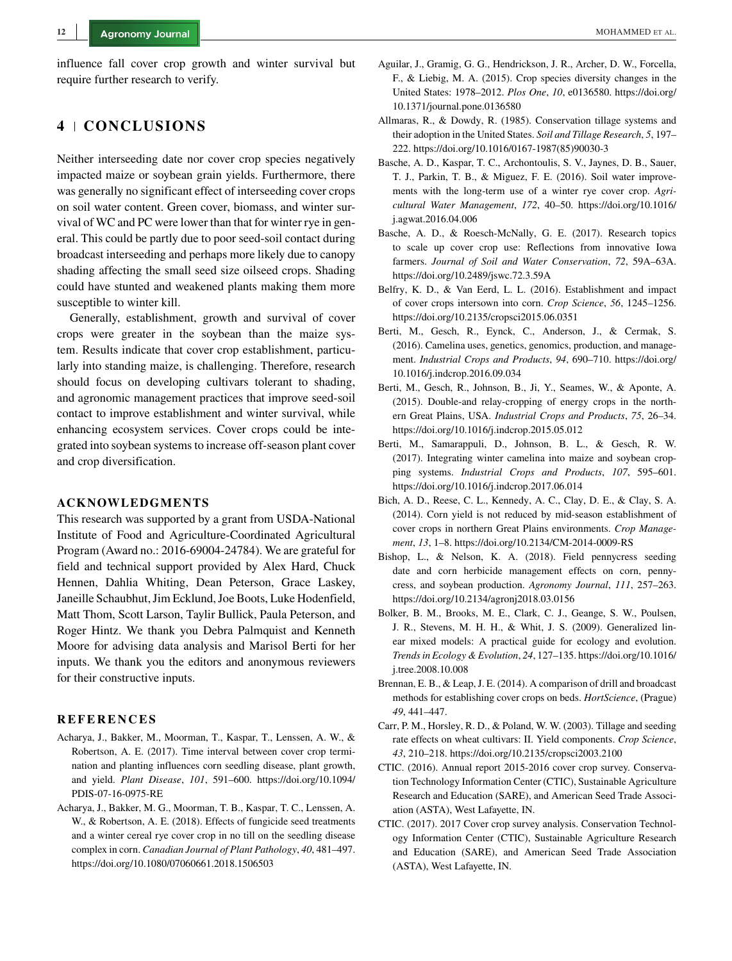influence fall cover crop growth and winter survival but require further research to verify.

# **4 CONCLUSIONS**

Neither interseeding date nor cover crop species negatively impacted maize or soybean grain yields. Furthermore, there was generally no significant effect of interseeding cover crops on soil water content. Green cover, biomass, and winter survival of WC and PC were lower than that for winter rye in general. This could be partly due to poor seed-soil contact during broadcast interseeding and perhaps more likely due to canopy shading affecting the small seed size oilseed crops. Shading could have stunted and weakened plants making them more susceptible to winter kill.

Generally, establishment, growth and survival of cover crops were greater in the soybean than the maize system. Results indicate that cover crop establishment, particularly into standing maize, is challenging. Therefore, research should focus on developing cultivars tolerant to shading, and agronomic management practices that improve seed-soil contact to improve establishment and winter survival, while enhancing ecosystem services. Cover crops could be integrated into soybean systems to increase off-season plant cover and crop diversification.

#### **ACKNOWLEDGMENTS**

This research was supported by a grant from USDA-National Institute of Food and Agriculture-Coordinated Agricultural Program (Award no.: 2016-69004-24784). We are grateful for field and technical support provided by Alex Hard, Chuck Hennen, Dahlia Whiting, Dean Peterson, Grace Laskey, Janeille Schaubhut, Jim Ecklund, Joe Boots, Luke Hodenfield, Matt Thom, Scott Larson, Taylir Bullick, Paula Peterson, and Roger Hintz. We thank you Debra Palmquist and Kenneth Moore for advising data analysis and Marisol Berti for her inputs. We thank you the editors and anonymous reviewers for their constructive inputs.

- **REFERENCES** Acharya, J., Bakker, M., Moorman, T., Kaspar, T., Lenssen, A. W., & Robertson, A. E. (2017). Time interval between cover crop termination and planting influences corn seedling disease, plant growth, and yield. *Plant Disease*, *101*, 591–600. [https://doi.org/10.1094/](https://doi.org/10.1094/PDIS-07-16-0975-RE) [PDIS-07-16-0975-RE](https://doi.org/10.1094/PDIS-07-16-0975-RE)
- Acharya, J., Bakker, M. G., Moorman, T. B., Kaspar, T. C., Lenssen, A. W., & Robertson, A. E. (2018). Effects of fungicide seed treatments and a winter cereal rye cover crop in no till on the seedling disease complex in corn. *Canadian Journal of Plant Pathology*, *40*, 481–497. <https://doi.org/10.1080/07060661.2018.1506503>
- Aguilar, J., Gramig, G. G., Hendrickson, J. R., Archer, D. W., Forcella, F., & Liebig, M. A. (2015). Crop species diversity changes in the United States: 1978–2012. *Plos One*, *10*, e0136580. [https://doi.org/](https://doi.org/10.1371/journal.pone.0136580) [10.1371/journal.pone.0136580](https://doi.org/10.1371/journal.pone.0136580)
- Allmaras, R., & Dowdy, R. (1985). Conservation tillage systems and their adoption in the United States. *Soil and Tillage Research*, *5*, 197– 222. [https://doi.org/10.1016/0167-1987\(85\)90030-3](https://doi.org/10.1016/0167-1987\05085\05190030-3)
- Basche, A. D., Kaspar, T. C., Archontoulis, S. V., Jaynes, D. B., Sauer, T. J., Parkin, T. B., & Miguez, F. E. (2016). Soil water improvements with the long-term use of a winter rye cover crop. *Agricultural Water Management*, *172*, 40–50. [https://doi.org/10.1016/](https://doi.org/10.1016/j.agwat.2016.04.006) [j.agwat.2016.04.006](https://doi.org/10.1016/j.agwat.2016.04.006)
- Basche, A. D., & Roesch-McNally, G. E. (2017). Research topics to scale up cover crop use: Reflections from innovative Iowa farmers. *Journal of Soil and Water Conservation*, *72*, 59A–63A. <https://doi.org/10.2489/jswc.72.3.59A>
- Belfry, K. D., & Van Eerd, L. L. (2016). Establishment and impact of cover crops intersown into corn. *Crop Science*, *56*, 1245–1256. <https://doi.org/10.2135/cropsci2015.06.0351>
- Berti, M., Gesch, R., Eynck, C., Anderson, J., & Cermak, S. (2016). Camelina uses, genetics, genomics, production, and management. *Industrial Crops and Products*, *94*, 690–710. [https://doi.org/](https://doi.org/10.1016/j.indcrop.2016.09.034) [10.1016/j.indcrop.2016.09.034](https://doi.org/10.1016/j.indcrop.2016.09.034)
- Berti, M., Gesch, R., Johnson, B., Ji, Y., Seames, W., & Aponte, A. (2015). Double-and relay-cropping of energy crops in the northern Great Plains, USA. *Industrial Crops and Products*, *75*, 26–34. <https://doi.org/10.1016/j.indcrop.2015.05.012>
- Berti, M., Samarappuli, D., Johnson, B. L., & Gesch, R. W. (2017). Integrating winter camelina into maize and soybean cropping systems. *Industrial Crops and Products*, *107*, 595–601. <https://doi.org/10.1016/j.indcrop.2017.06.014>
- Bich, A. D., Reese, C. L., Kennedy, A. C., Clay, D. E., & Clay, S. A. (2014). Corn yield is not reduced by mid-season establishment of cover crops in northern Great Plains environments. *Crop Management*, *13*, 1–8.<https://doi.org/10.2134/CM-2014-0009-RS>
- Bishop, L., & Nelson, K. A. (2018). Field pennycress seeding date and corn herbicide management effects on corn, pennycress, and soybean production. *Agronomy Journal*, *111*, 257–263. <https://doi.org/10.2134/agronj2018.03.0156>
- Bolker, B. M., Brooks, M. E., Clark, C. J., Geange, S. W., Poulsen, J. R., Stevens, M. H. H., & Whit, J. S. (2009). Generalized linear mixed models: A practical guide for ecology and evolution. *Trends in Ecology & Evolution*, *24*, 127–135. [https://doi.org/10.1016/](https://doi.org/10.1016/j.tree.2008.10.008) [j.tree.2008.10.008](https://doi.org/10.1016/j.tree.2008.10.008)
- Brennan, E. B., & Leap, J. E. (2014). A comparison of drill and broadcast methods for establishing cover crops on beds. *HortScience*, (Prague) *49*, 441–447.
- Carr, P. M., Horsley, R. D., & Poland, W. W. (2003). Tillage and seeding rate effects on wheat cultivars: II. Yield components. *Crop Science*, *43*, 210–218.<https://doi.org/10.2135/cropsci2003.2100>
- CTIC. (2016). Annual report 2015-2016 cover crop survey. Conservation Technology Information Center (CTIC), Sustainable Agriculture Research and Education (SARE), and American Seed Trade Association (ASTA), West Lafayette, IN.
- CTIC. (2017). 2017 Cover crop survey analysis. Conservation Technology Information Center (CTIC), Sustainable Agriculture Research and Education (SARE), and American Seed Trade Association (ASTA), West Lafayette, IN.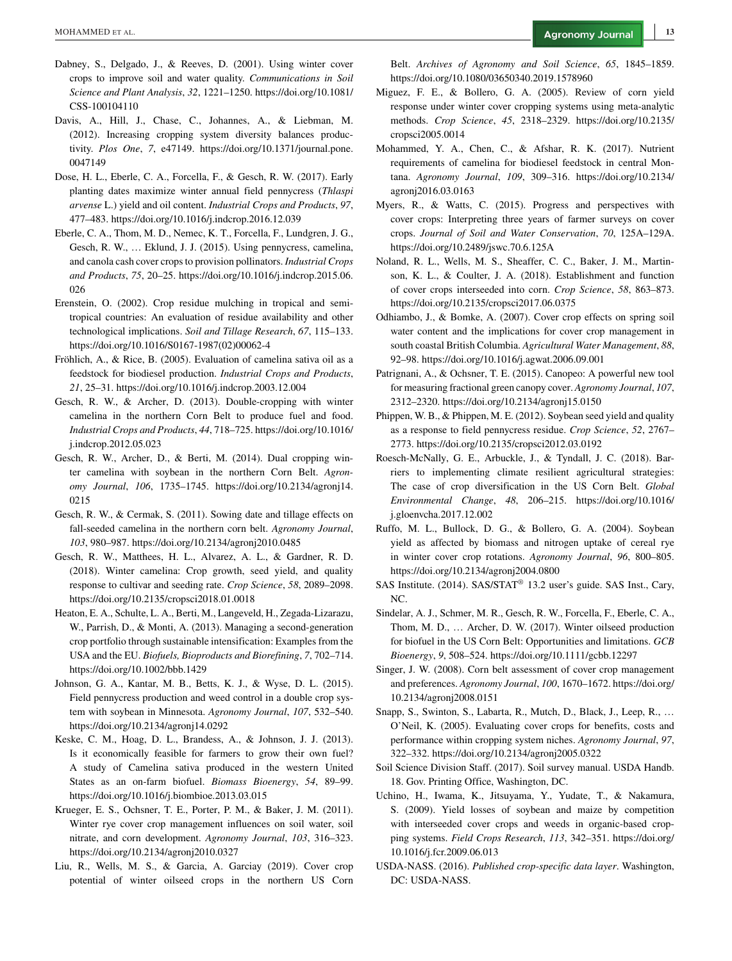- Dabney, S., Delgado, J., & Reeves, D. (2001). Using winter cover crops to improve soil and water quality. *Communications in Soil Science and Plant Analysis*, *32*, 1221–1250. [https://doi.org/10.1081/](https://doi.org/10.1081/CSS-100104110) [CSS-100104110](https://doi.org/10.1081/CSS-100104110)
- Davis, A., Hill, J., Chase, C., Johannes, A., & Liebman, M. (2012). Increasing cropping system diversity balances productivity. *Plos One*, *7*, e47149. [https://doi.org/10.1371/journal.pone.](https://doi.org/10.1371/journal.pone.0047149) [0047149](https://doi.org/10.1371/journal.pone.0047149)
- Dose, H. L., Eberle, C. A., Forcella, F., & Gesch, R. W. (2017). Early planting dates maximize winter annual field pennycress (*Thlaspi arvense* L.) yield and oil content. *Industrial Crops and Products*, *97*, 477–483.<https://doi.org/10.1016/j.indcrop.2016.12.039>
- Eberle, C. A., Thom, M. D., Nemec, K. T., Forcella, F., Lundgren, J. G., Gesch, R. W., … Eklund, J. J. (2015). Using pennycress, camelina, and canola cash cover crops to provision pollinators. *Industrial Crops and Products*, *75*, 20–25. [https://doi.org/10.1016/j.indcrop.2015.06.](https://doi.org/10.1016/j.indcrop.2015.06.026) [026](https://doi.org/10.1016/j.indcrop.2015.06.026)
- Erenstein, O. (2002). Crop residue mulching in tropical and semitropical countries: An evaluation of residue availability and other technological implications. *Soil and Tillage Research*, *67*, 115–133. [https://doi.org/10.1016/S0167-1987\(02\)00062-4](https://doi.org/10.1016/S0167-1987\05002\05100062-4)
- Fröhlich, A., & Rice, B. (2005). Evaluation of camelina sativa oil as a feedstock for biodiesel production. *Industrial Crops and Products*, *21*, 25–31.<https://doi.org/10.1016/j.indcrop.2003.12.004>
- Gesch, R. W., & Archer, D. (2013). Double-cropping with winter camelina in the northern Corn Belt to produce fuel and food. *Industrial Crops and Products*, *44*, 718–725. [https://doi.org/10.1016/](https://doi.org/10.1016/j.indcrop.2012.05.023) [j.indcrop.2012.05.023](https://doi.org/10.1016/j.indcrop.2012.05.023)
- Gesch, R. W., Archer, D., & Berti, M. (2014). Dual cropping winter camelina with soybean in the northern Corn Belt. *Agronomy Journal*, *106*, 1735–1745. [https://doi.org/10.2134/agronj14.](https://doi.org/10.2134/agronj14.0215) [0215](https://doi.org/10.2134/agronj14.0215)
- Gesch, R. W., & Cermak, S. (2011). Sowing date and tillage effects on fall-seeded camelina in the northern corn belt. *Agronomy Journal*, *103*, 980–987.<https://doi.org/10.2134/agronj2010.0485>
- Gesch, R. W., Matthees, H. L., Alvarez, A. L., & Gardner, R. D. (2018). Winter camelina: Crop growth, seed yield, and quality response to cultivar and seeding rate. *Crop Science*, *58*, 2089–2098. <https://doi.org/10.2135/cropsci2018.01.0018>
- Heaton, E. A., Schulte, L. A., Berti, M., Langeveld, H., Zegada-Lizarazu, W., Parrish, D., & Monti, A. (2013). Managing a second-generation crop portfolio through sustainable intensification: Examples from the USA and the EU. *Biofuels, Bioproducts and Biorefining*, *7*, 702–714. <https://doi.org/10.1002/bbb.1429>
- Johnson, G. A., Kantar, M. B., Betts, K. J., & Wyse, D. L. (2015). Field pennycress production and weed control in a double crop system with soybean in Minnesota. *Agronomy Journal*, *107*, 532–540. <https://doi.org/10.2134/agronj14.0292>
- Keske, C. M., Hoag, D. L., Brandess, A., & Johnson, J. J. (2013). Is it economically feasible for farmers to grow their own fuel? A study of Camelina sativa produced in the western United States as an on-farm biofuel. *Biomass Bioenergy*, *54*, 89–99. <https://doi.org/10.1016/j.biombioe.2013.03.015>
- Krueger, E. S., Ochsner, T. E., Porter, P. M., & Baker, J. M. (2011). Winter rye cover crop management influences on soil water, soil nitrate, and corn development. *Agronomy Journal*, *103*, 316–323. <https://doi.org/10.2134/agronj2010.0327>
- Liu, R., Wells, M. S., & Garcia, A. Garciay (2019). Cover crop potential of winter oilseed crops in the northern US Corn

Belt. *Archives of Agronomy and Soil Science*, *65*, 1845–1859. <https://doi.org/10.1080/03650340.2019.1578960>

- Miguez, F. E., & Bollero, G. A. (2005). Review of corn yield response under winter cover cropping systems using meta-analytic methods. *Crop Science*, *45*, 2318–2329. [https://doi.org/10.2135/](https://doi.org/10.2135/cropsci2005.0014) [cropsci2005.0014](https://doi.org/10.2135/cropsci2005.0014)
- Mohammed, Y. A., Chen, C., & Afshar, R. K. (2017). Nutrient requirements of camelina for biodiesel feedstock in central Montana. *Agronomy Journal*, *109*, 309–316. [https://doi.org/10.2134/](https://doi.org/10.2134/agronj2016.03.0163) [agronj2016.03.0163](https://doi.org/10.2134/agronj2016.03.0163)
- Myers, R., & Watts, C. (2015). Progress and perspectives with cover crops: Interpreting three years of farmer surveys on cover crops. *Journal of Soil and Water Conservation*, *70*, 125A–129A. <https://doi.org/10.2489/jswc.70.6.125A>
- Noland, R. L., Wells, M. S., Sheaffer, C. C., Baker, J. M., Martinson, K. L., & Coulter, J. A. (2018). Establishment and function of cover crops interseeded into corn. *Crop Science*, *58*, 863–873. <https://doi.org/10.2135/cropsci2017.06.0375>
- Odhiambo, J., & Bomke, A. (2007). Cover crop effects on spring soil water content and the implications for cover crop management in south coastal British Columbia. *Agricultural Water Management*, *88*, 92–98.<https://doi.org/10.1016/j.agwat.2006.09.001>
- Patrignani, A., & Ochsner, T. E. (2015). Canopeo: A powerful new tool for measuring fractional green canopy cover. *Agronomy Journal*, *107*, 2312–2320.<https://doi.org/10.2134/agronj15.0150>
- Phippen, W. B., & Phippen, M. E. (2012). Soybean seed yield and quality as a response to field pennycress residue. *Crop Science*, *52*, 2767– 2773.<https://doi.org/10.2135/cropsci2012.03.0192>
- Roesch-McNally, G. E., Arbuckle, J., & Tyndall, J. C. (2018). Barriers to implementing climate resilient agricultural strategies: The case of crop diversification in the US Corn Belt. *Global Environmental Change*, *48*, 206–215. [https://doi.org/10.1016/](https://doi.org/10.1016/j.gloenvcha.2017.12.002) [j.gloenvcha.2017.12.002](https://doi.org/10.1016/j.gloenvcha.2017.12.002)
- Ruffo, M. L., Bullock, D. G., & Bollero, G. A. (2004). Soybean yield as affected by biomass and nitrogen uptake of cereal rye in winter cover crop rotations. *Agronomy Journal*, *96*, 800–805. <https://doi.org/10.2134/agronj2004.0800>
- SAS Institute. (2014). SAS/STAT® 13.2 user's guide. SAS Inst., Cary, NC.
- Sindelar, A. J., Schmer, M. R., Gesch, R. W., Forcella, F., Eberle, C. A., Thom, M. D., … Archer, D. W. (2017). Winter oilseed production for biofuel in the US Corn Belt: Opportunities and limitations. *GCB Bioenergy*, *9*, 508–524.<https://doi.org/10.1111/gcbb.12297>
- Singer, J. W. (2008). Corn belt assessment of cover crop management and preferences. *Agronomy Journal*, *100*, 1670–1672. [https://doi.org/](https://doi.org/10.2134/agronj2008.0151) [10.2134/agronj2008.0151](https://doi.org/10.2134/agronj2008.0151)
- Snapp, S., Swinton, S., Labarta, R., Mutch, D., Black, J., Leep, R., … O'Neil, K. (2005). Evaluating cover crops for benefits, costs and performance within cropping system niches. *Agronomy Journal*, *97*, 322–332.<https://doi.org/10.2134/agronj2005.0322>
- Soil Science Division Staff. (2017). Soil survey manual. USDA Handb. 18. Gov. Printing Office, Washington, DC.
- Uchino, H., Iwama, K., Jitsuyama, Y., Yudate, T., & Nakamura, S. (2009). Yield losses of soybean and maize by competition with interseeded cover crops and weeds in organic-based cropping systems. *Field Crops Research*, *113*, 342–351. [https://doi.org/](https://doi.org/10.1016/j.fcr.2009.06.013) [10.1016/j.fcr.2009.06.013](https://doi.org/10.1016/j.fcr.2009.06.013)
- USDA-NASS. (2016). *Published crop-specific data layer*. Washington, DC: USDA-NASS.